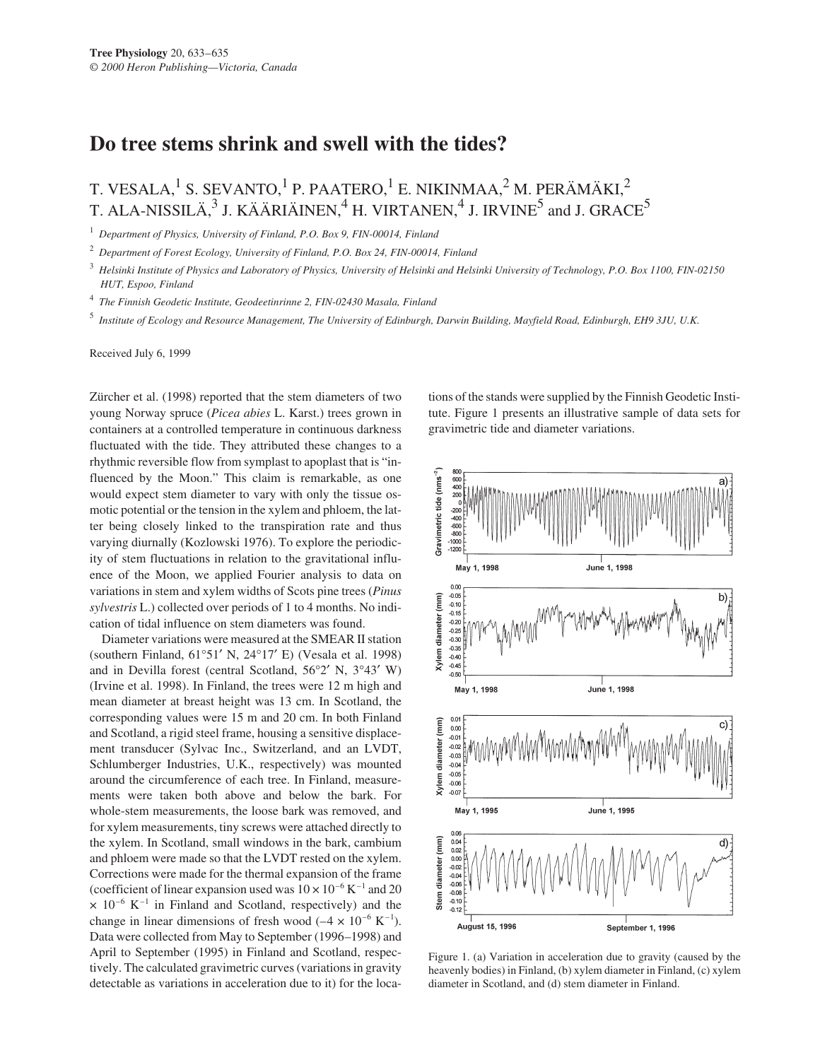## **Do tree stems shrink and swell with the tides?**

T. VESALA,<sup>1</sup> S. SEVANTO,<sup>1</sup> P. PAATERO,<sup>1</sup> E. NIKINMAA,<sup>2</sup> M. PERÄMÄKI,<sup>2</sup> T. ALA-NISSILÄ, $3$  J. KÄÄRIÄINEN,<sup>4</sup> H. VIRTANEN,<sup>4</sup> J. IRVINE<sup>5</sup> and J. GRACE<sup>5</sup>

<sup>1</sup> *Department of Physics, University of Finland, P.O. Box 9, FIN-00014, Finland*

<sup>2</sup> *Department of Forest Ecology, University of Finland, P.O. Box 24, FIN-00014, Finland*

<sup>3</sup> *Helsinki Institute of Physics and Laboratory of Physics, University of Helsinki and Helsinki University of Technology, P.O. Box 1100, FIN-02150 HUT, Espoo, Finland*

<sup>4</sup> *The Finnish Geodetic Institute, Geodeetinrinne 2, FIN-02430 Masala, Finland*

<sup>5</sup> *Institute of Ecology and Resource Management, The University of Edinburgh, Darwin Building, Mayfield Road, Edinburgh, EH9 3JU, U.K.*

Received July 6, 1999

Zürcher et al. (1998) reported that the stem diameters of two young Norway spruce (*Picea abies* L. Karst.) trees grown in containers at a controlled temperature in continuous darkness fluctuated with the tide. They attributed these changes to a rhythmic reversible flow from symplast to apoplast that is "influenced by the Moon." This claim is remarkable, as one would expect stem diameter to vary with only the tissue osmotic potential or the tension in the xylem and phloem, the latter being closely linked to the transpiration rate and thus varying diurnally (Kozlowski 1976). To explore the periodicity of stem fluctuations in relation to the gravitational influence of the Moon, we applied Fourier analysis to data on variations in stem and xylem widths of Scots pine trees (*Pinus sylvestris* L.) collected over periods of 1 to 4 months. No indication of tidal influence on stem diameters was found.

Diameter variations were measured at the SMEAR II station (southern Finland, 61°51′ N, 24°17′ E) (Vesala et al. 1998) and in Devilla forest (central Scotland, 56°2′ N, 3°43′ W) (Irvine et al. 1998). In Finland, the trees were 12 m high and mean diameter at breast height was 13 cm. In Scotland, the corresponding values were 15 m and 20 cm. In both Finland and Scotland, a rigid steel frame, housing a sensitive displacement transducer (Sylvac Inc., Switzerland, and an LVDT, Schlumberger Industries, U.K., respectively) was mounted around the circumference of each tree. In Finland, measurements were taken both above and below the bark. For whole-stem measurements, the loose bark was removed, and for xylem measurements, tiny screws were attached directly to the xylem. In Scotland, small windows in the bark, cambium and phloem were made so that the LVDT rested on the xylem. Corrections were made for the thermal expansion of the frame (coefficient of linear expansion used was  $10 \times 10^{-6}$  K<sup>-1</sup> and 20  $\times$  10<sup>-6</sup> K<sup>-1</sup> in Finland and Scotland, respectively) and the change in linear dimensions of fresh wood  $(-4 \times 10^{-6} \text{ K}^{-1})$ . Data were collected from May to September (1996–1998) and April to September (1995) in Finland and Scotland, respectively. The calculated gravimetric curves (variations in gravity detectable as variations in acceleration due to it) for the loca-

tions of the stands were supplied by the Finnish Geodetic Institute. Figure 1 presents an illustrative sample of data sets for gravimetric tide and diameter variations.



Figure 1. (a) Variation in acceleration due to gravity (caused by the heavenly bodies) in Finland, (b) xylem diameter in Finland, (c) xylem diameter in Scotland, and (d) stem diameter in Finland.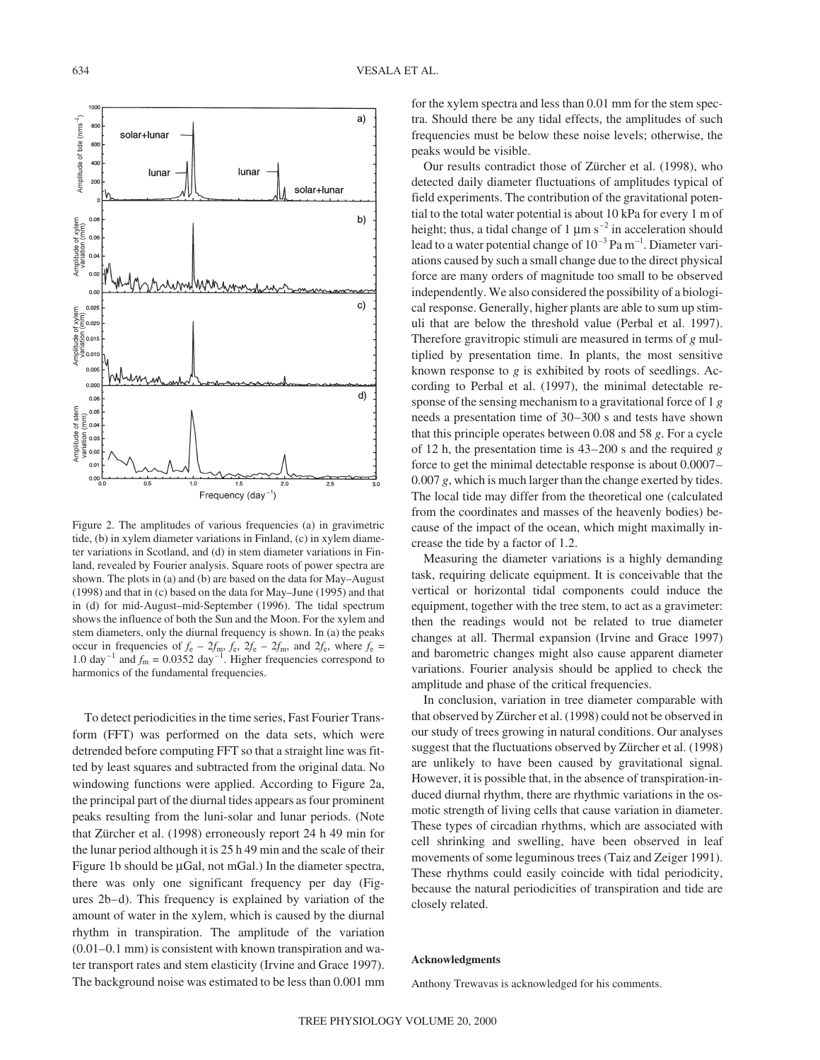

Figure 2. The amplitudes of various frequencies (a) in gravimetric tide, (b) in xylem diameter variations in Finland, (c) in xylem diameter variations in Scotland, and (d) in stem diameter variations in Finland, revealed by Fourier analysis. Square roots of power spectra are shown. The plots in (a) and (b) are based on the data for May–August (1998) and that in (c) based on the data for May–June (1995) and that in (d) for mid-August–mid-September (1996). The tidal spectrum shows the influence of both the Sun and the Moon. For the xylem and stem diameters, only the diurnal frequency is shown. In (a) the peaks occur in frequencies of  $f_e - 2f_m$ ,  $f_e$ ,  $2f_e - 2f_m$ , and  $2f_e$ , where  $f_e$ 1.0 day<sup>-1</sup> and  $f_m$  = 0.0352 day<sup>-1</sup>. Higher frequencies correspond to harmonics of the fundamental frequencies.

To detect periodicities in the time series, Fast Fourier Transform (FFT) was performed on the data sets, which were detrended before computing FFT so that a straight line was fitted by least squares and subtracted from the original data. No windowing functions were applied. According to Figure 2a, the principal part of the diurnal tides appears as four prominent peaks resulting from the luni-solar and lunar periods. (Note that Zürcher et al. (1998) erroneously report 24 h 49 min for the lunar period although it is 25 h 49 min and the scale of their Figure 1b should be  $\mu$ Gal, not mGal.) In the diameter spectra, there was only one significant frequency per day (Figures 2b–d). This frequency is explained by variation of the amount of water in the xylem, which is caused by the diurnal rhythm in transpiration. The amplitude of the variation (0.01–0.1 mm) is consistent with known transpiration and water transport rates and stem elasticity (Irvine and Grace 1997). The background noise was estimated to be less than 0.001 mm for the xylem spectra and less than 0.01 mm for the stem spectra. Should there be any tidal effects, the amplitudes of such frequencies must be below these noise levels; otherwise, the peaks would be visible.

Our results contradict those of Zürcher et al. (1998), who detected daily diameter fluctuations of amplitudes typical of field experiments. The contribution of the gravitational potential to the total water potential is about 10 kPa for every 1 m of height; thus, a tidal change of 1  $\mu$ m s<sup>-2</sup> in acceleration should lead to a water potential change of  $10^{-3}$  Pa m<sup>-1</sup>. Diameter variations caused by such a small change due to the direct physical force are many orders of magnitude too small to be observed independently. We also considered the possibility of a biological response. Generally, higher plants are able to sum up stimuli that are below the threshold value (Perbal et al. 1997). Therefore gravitropic stimuli are measured in terms of *g* multiplied by presentation time. In plants, the most sensitive known response to *g* is exhibited by roots of seedlings. According to Perbal et al. (1997), the minimal detectable response of the sensing mechanism to a gravitational force of 1 *g* needs a presentation time of 30–300 s and tests have shown that this principle operates between 0.08 and 58 *g*. For a cycle of 12 h, the presentation time is 43–200 s and the required *g* force to get the minimal detectable response is about 0.0007– 0.007 *g*, which is much larger than the change exerted by tides. The local tide may differ from the theoretical one (calculated from the coordinates and masses of the heavenly bodies) because of the impact of the ocean, which might maximally increase the tide by a factor of 1.2.

Measuring the diameter variations is a highly demanding task, requiring delicate equipment. It is conceivable that the vertical or horizontal tidal components could induce the equipment, together with the tree stem, to act as a gravimeter: then the readings would not be related to true diameter changes at all. Thermal expansion (Irvine and Grace 1997) and barometric changes might also cause apparent diameter variations. Fourier analysis should be applied to check the amplitude and phase of the critical frequencies.

In conclusion, variation in tree diameter comparable with that observed by Zürcher et al. (1998) could not be observed in our study of trees growing in natural conditions. Our analyses suggest that the fluctuations observed by Zürcher et al. (1998) are unlikely to have been caused by gravitational signal. However, it is possible that, in the absence of transpiration-induced diurnal rhythm, there are rhythmic variations in the osmotic strength of living cells that cause variation in diameter. These types of circadian rhythms, which are associated with cell shrinking and swelling, have been observed in leaf movements of some leguminous trees (Taiz and Zeiger 1991). These rhythms could easily coincide with tidal periodicity, because the natural periodicities of transpiration and tide are closely related.

## **Acknowledgments**

Anthony Trewavas is acknowledged for his comments.